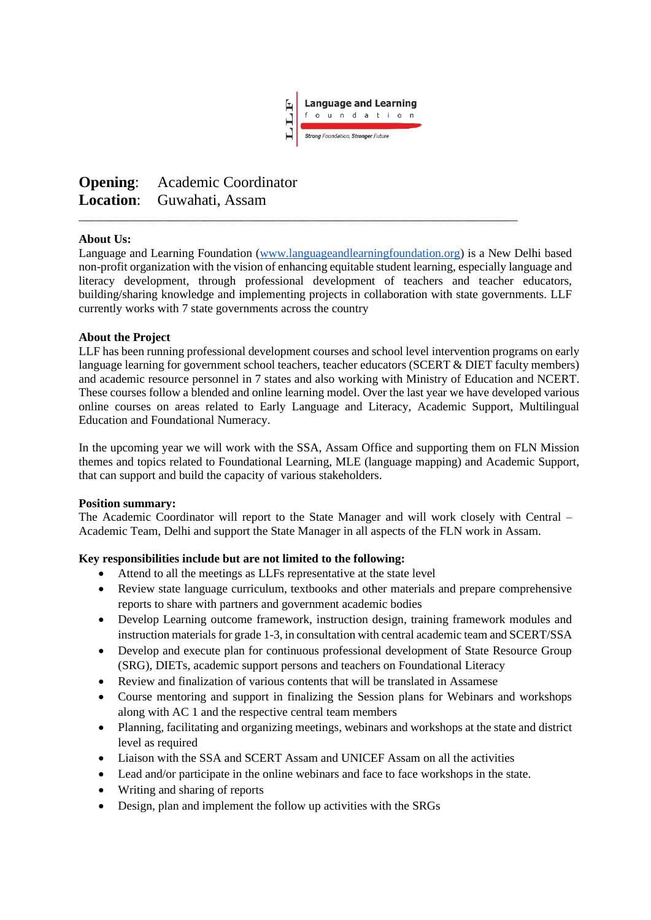

# **Opening**: Academic Coordinator **Location**: Guwahati, Assam

#### **About Us:**

Language and Learning Foundation [\(www.languageandlearningfoundation.org\)](http://www.languageandlearningfoundation.org/) is a New Delhi based non-profit organization with the vision of enhancing equitable student learning, especially language and literacy development, through professional development of teachers and teacher educators, building/sharing knowledge and implementing projects in collaboration with state governments. LLF currently works with 7 state governments across the country

\_\_\_\_\_\_\_\_\_\_\_\_\_\_\_\_\_\_\_\_\_\_\_\_\_\_\_\_\_\_\_\_\_\_\_\_\_\_\_\_\_\_\_\_\_\_\_\_\_\_\_\_\_\_\_\_\_\_\_\_\_\_\_\_\_\_\_\_\_\_\_\_\_

#### **About the Project**

LLF has been running professional development courses and school level intervention programs on early language learning for government school teachers, teacher educators (SCERT & DIET faculty members) and academic resource personnel in 7 states and also working with Ministry of Education and NCERT. These courses follow a blended and online learning model. Over the last year we have developed various online courses on areas related to Early Language and Literacy, Academic Support, Multilingual Education and Foundational Numeracy.

In the upcoming year we will work with the SSA, Assam Office and supporting them on FLN Mission themes and topics related to Foundational Learning, MLE (language mapping) and Academic Support, that can support and build the capacity of various stakeholders.

#### **Position summary:**

The Academic Coordinator will report to the State Manager and will work closely with Central – Academic Team, Delhi and support the State Manager in all aspects of the FLN work in Assam.

## **Key responsibilities include but are not limited to the following:**

- Attend to all the meetings as LLFs representative at the state level
- Review state language curriculum, textbooks and other materials and prepare comprehensive reports to share with partners and government academic bodies
- Develop Learning outcome framework, instruction design, training framework modules and instruction materials for grade 1-3, in consultation with central academic team and SCERT/SSA
- Develop and execute plan for continuous professional development of State Resource Group (SRG), DIETs, academic support persons and teachers on Foundational Literacy
- Review and finalization of various contents that will be translated in Assamese
- Course mentoring and support in finalizing the Session plans for Webinars and workshops along with AC 1 and the respective central team members
- Planning, facilitating and organizing meetings, webinars and workshops at the state and district level as required
- Liaison with the SSA and SCERT Assam and UNICEF Assam on all the activities
- Lead and/or participate in the online webinars and face to face workshops in the state.
- Writing and sharing of reports
- Design, plan and implement the follow up activities with the SRGs